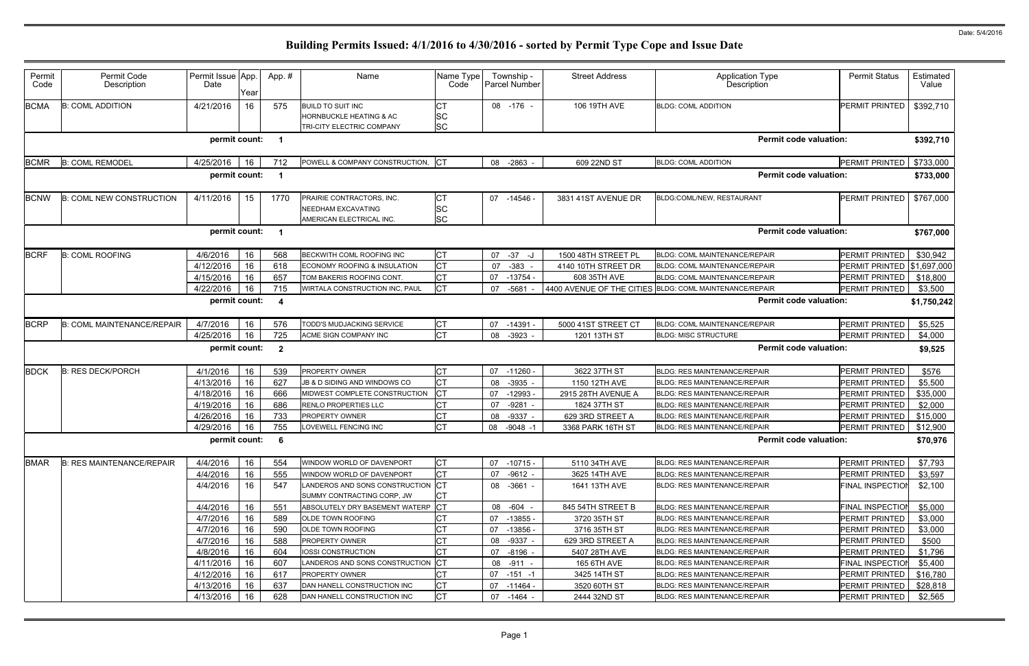| Permit<br>Code | Permit Code<br>Description        | Permit Issue App.<br>Date | Year | App. #                  | Name                                                                             | Name Type<br>Code                   | Township -<br><b>Parcel Number</b> | <b>Street Address</b> | <b>Application Type</b><br>Description                  | <b>Permit Status</b>        | Estimated<br>Value |
|----------------|-----------------------------------|---------------------------|------|-------------------------|----------------------------------------------------------------------------------|-------------------------------------|------------------------------------|-----------------------|---------------------------------------------------------|-----------------------------|--------------------|
| <b>BCMA</b>    | <b>B: COML ADDITION</b>           | 4/21/2016                 | 16   | 575                     | <b>BUILD TO SUIT INC</b><br>HORNBUCKLE HEATING & AC<br>TRI-CITY ELECTRIC COMPANY | <b>CT</b><br><b>SC</b><br><b>SC</b> | 08 -176 -                          | 106 19TH AVE          | <b>BLDG: COML ADDITION</b>                              | <b>PERMIT PRINTED</b>       | \$392,710          |
|                |                                   | permit count:             |      | - 1                     |                                                                                  |                                     |                                    |                       | <b>Permit code valuation:</b>                           |                             | \$392,710          |
| <b>BCMR</b>    | <b>B: COML REMODEL</b>            | 4/25/2016                 | 16   | 712                     | POWELL & COMPANY CONSTRUCTION, CT                                                |                                     | 08 -2863 -                         | 609 22ND ST           | <b>BLDG: COML ADDITION</b>                              | PERMIT PRINTED              | \$733,000          |
|                |                                   | permit count:             |      | - 1                     |                                                                                  |                                     |                                    |                       | <b>Permit code valuation:</b>                           |                             | \$733,000          |
| <b>BCNW</b>    | <b>B: COML NEW CONSTRUCTION</b>   | 4/11/2016                 | 15   | 1770                    | PRAIRIE CONTRACTORS, INC.<br>NEEDHAM EXCAVATING<br>AMERICAN ELECTRICAL INC.      | IСТ<br><b>SC</b><br><b>SC</b>       | 07 -14546 -                        | 3831 41ST AVENUE DR   | BLDG:COML/NEW, RESTAURANT                               | <b>PERMIT PRINTED</b>       | \$767,000          |
|                |                                   | permit count:             |      | $\overline{\mathbf{1}}$ |                                                                                  |                                     |                                    |                       | <b>Permit code valuation:</b>                           |                             | \$767,000          |
| <b>BCRF</b>    | <b>B: COML ROOFING</b>            | 4/6/2016                  | 16   | 568                     | BECKWITH COML ROOFING INC                                                        | <b>CT</b>                           | 07 - 37 - J                        | 1500 48TH STREET PL   | <b>BLDG: COML MAINTENANCE/REPAIR</b>                    | <b>PERMIT PRINTED</b>       | \$30,942           |
|                |                                   | 4/12/2016                 | 16   | 618                     | ECONOMY ROOFING & INSULATION                                                     | <b>CT</b>                           | $-383$<br>07                       | 4140 10TH STREET DR   | <b>BLDG: COML MAINTENANCE/REPAIR</b>                    | PERMIT PRINTED \\$1,697,000 |                    |
|                |                                   | 4/15/2016                 | 16   | 657                     | TOM BAKERIS ROOFING CONT.                                                        | <b>CT</b>                           | 07<br>-13754 -                     | 608 35TH AVE          | <b>BLDG: COML MAINTENANCE/REPAIR</b>                    | PERMIT PRINTED              | \$18,800           |
|                |                                   | 4/22/2016                 | 16   | 715                     | WIRTALA CONSTRUCTION INC, PAUL                                                   | <b>CT</b>                           | 07<br>$-5681$                      |                       | 4400 AVENUE OF THE CITIES BLDG: COML MAINTENANCE/REPAIR | PERMIT PRINTED              | \$3,500            |
|                |                                   | permit count:             |      | $\overline{\mathbf{4}}$ |                                                                                  |                                     |                                    |                       | <b>Permit code valuation:</b>                           |                             | \$1,750,242        |
| <b>BCRP</b>    | <b>B: COML MAINTENANCE/REPAIR</b> | 4/7/2016                  | 16   | 576                     | TODD'S MUDJACKING SERVICE                                                        | IСТ                                 | 07 -14391                          | 5000 41ST STREET CT   | <b>BLDG: COML MAINTENANCE/REPAIR</b>                    | PERMIT PRINTED              | \$5,525            |
|                |                                   | 4/25/2016                 | 16   | 725                     | ACME SIGN COMPANY INC                                                            | <b>CT</b>                           | 08 -3923 -                         | 1201 13TH ST          | <b>BLDG: MISC STRUCTURE</b>                             | PERMIT PRINTED              | \$4,000            |
|                |                                   | permit count:             |      | $\overline{\mathbf{2}}$ |                                                                                  |                                     |                                    |                       | <b>Permit code valuation:</b>                           |                             | \$9,525            |
| <b>BDCK</b>    | <b>B: RES DECK/PORCH</b>          | 4/1/2016                  | 16   | 539                     | PROPERTY OWNER                                                                   | <b>CT</b>                           | 07<br>$-11260$                     | 3622 37TH ST          | <b>BLDG: RES MAINTENANCE/REPAIR</b>                     | PERMIT PRINTED              | \$576              |
|                |                                   | 4/13/2016                 | 16   | 627                     | JB & D SIDING AND WINDOWS CO                                                     | <b>CT</b>                           | 08<br>-3935                        | 1150 12TH AVE         | <b>BLDG: RES MAINTENANCE/REPAIR</b>                     | PERMIT PRINTED              | \$5,500            |
|                |                                   | 4/18/2016                 | 16   | 666                     | MIDWEST COMPLETE CONSTRUCTION                                                    | Iст                                 | 07<br>$-12993 -$                   | 2915 28TH AVENUE A    | <b>BLDG: RES MAINTENANCE/REPAIR</b>                     | PERMIT PRINTED              | \$35,000           |
|                |                                   | 4/19/2016                 | 16   | 686                     | RENLO PROPERTIES LLC                                                             | <b>CT</b>                           | $-9281 -$<br>07                    | 1824 37TH ST          | <b>BLDG: RES MAINTENANCE/REPAIR</b>                     | PERMIT PRINTED              | \$2,000            |
|                |                                   | 4/26/2016                 | 16   | 733                     | PROPERTY OWNER                                                                   | <b>CT</b>                           | 08<br>$-9337 -$                    | 629 3RD STREET A      | <b>BLDG: RES MAINTENANCE/REPAIR</b>                     | PERMIT PRINTED              | \$15,000           |
|                |                                   | 4/29/2016                 | 16   | 755                     | LOVEWELL FENCING INC                                                             | <b>CT</b>                           | 08<br>$-9048 - 1$                  | 3368 PARK 16TH ST     | <b>BLDG: RES MAINTENANCE/REPAIR</b>                     | PERMIT PRINTED              | \$12,900           |
|                |                                   | permit count:             |      | - 6                     |                                                                                  |                                     |                                    |                       | <b>Permit code valuation:</b>                           |                             | \$70,976           |
| <b>BMAR</b>    | <b>B: RES MAINTENANCE/REPAIR</b>  | 4/4/2016                  | 16   | 554                     | WINDOW WORLD OF DAVENPORT                                                        | <b>CT</b>                           | 07 -10715 -                        | 5110 34TH AVE         | <b>BLDG: RES MAINTENANCE/REPAIR</b>                     | PERMIT PRINTED              | \$7,793            |
|                |                                   | 4/4/2016                  | 16   | 555                     | WINDOW WORLD OF DAVENPORT                                                        | <b>CT</b>                           | 07<br>$-9612 -$                    | 3625 14TH AVE         | <b>BLDG: RES MAINTENANCE/REPAIR</b>                     | PERMIT PRINTED              | \$3,597            |
|                |                                   | 4/4/2016                  | 16   | 547                     | LANDEROS AND SONS CONSTRUCTION CT<br>SUMMY CONTRACTING CORP, JW                  | IСТ                                 | 08 -3661 -                         | 1641 13TH AVE         | <b>BLDG: RES MAINTENANCE/REPAIR</b>                     | <b>FINAL INSPECTION</b>     | \$2,100            |
|                |                                   | 4/4/2016                  | 16   | 551                     | ABSOLUTELY DRY BASEMENT WATERP CT                                                |                                     | 08 -604 -                          | 845 54TH STREET B     | <b>BLDG: RES MAINTENANCE/REPAIR</b>                     | <b>FINAL INSPECTIOI</b>     | \$5,000            |
|                |                                   | 4/7/2016                  | 16   | 589                     | OLDE TOWN ROOFING                                                                | <b>CT</b>                           | 07 -13855 -                        | 3720 35TH ST          | <b>BLDG: RES MAINTENANCE/REPAIR</b>                     | PERMIT PRINTED              | \$3,000            |
|                |                                   | 4/7/2016                  | 16   | 590                     | <b>OLDE TOWN ROOFING</b>                                                         | <b>CT</b>                           | 07<br>$-13856$                     | 3716 35TH ST          | <b>BLDG: RES MAINTENANCE/REPAIR</b>                     | PERMIT PRINTED              | \$3,000            |
|                |                                   | 4/7/2016                  | 16   | 588                     | PROPERTY OWNER                                                                   | СT                                  | 08 -9337 -                         | 629 3RD STREET A      | <b>BLDG: RES MAINTENANCE/REPAIR</b>                     | PERMIT PRINTED              | \$500              |
|                |                                   | 4/8/2016                  | 16   | 604                     | IOSSI CONSTRUCTION                                                               | <b>CT</b>                           | 07 -8196 -                         | 5407 28TH AVE         | <b>BLDG: RES MAINTENANCE/REPAIR</b>                     | PERMIT PRINTED              | \$1,796            |
|                |                                   | 4/11/2016                 | 16   | 607                     | LANDEROS AND SONS CONSTRUCTION                                                   | Iст                                 | 08 -911 -                          | 165 6TH AVE           | <b>BLDG: RES MAINTENANCE/REPAIR</b>                     | FINAL INSPECTION            | \$5,400            |
|                |                                   | 4/12/2016                 | 16   | 617                     | PROPERTY OWNER                                                                   | <b>CT</b>                           | $07 - 151 - 1$                     | 3425 14TH ST          | <b>BLDG: RES MAINTENANCE/REPAIR</b>                     | PERMIT PRINTED              | \$16,780           |
|                |                                   | 4/13/2016                 | 16   | 637                     | DAN HANELL CONSTRUCTION INC                                                      | <b>CT</b>                           | -11464 -<br>07                     | 3520 60TH ST          | <b>BLDG: RES MAINTENANCE/REPAIR</b>                     | PERMIT PRINTED              | \$28,818           |
|                |                                   | 4/13/2016                 | 16   | 628                     | DAN HANELL CONSTRUCTION INC                                                      | Iст                                 | 07 -1464 -                         | 2444 32ND ST          | <b>BLDG: RES MAINTENANCE/REPAIR</b>                     | PERMIT PRINTED              | \$2,565            |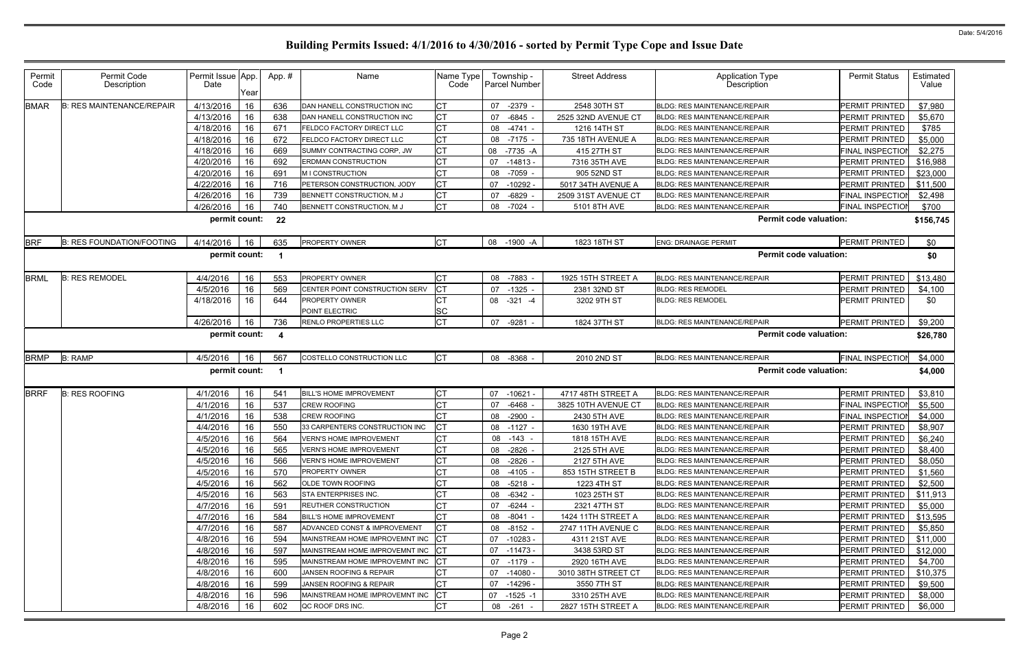| Permit<br>Code | Permit Code<br>Description       | Permit Issue App.<br>Date | Year | App. #                  | Name                              | Name Type<br>Code | Township -<br><b>Parcel Number</b> | <b>Street Address</b> | <b>Application Type</b><br>Description | <b>Permit Status</b>    | Estimated<br>Value |
|----------------|----------------------------------|---------------------------|------|-------------------------|-----------------------------------|-------------------|------------------------------------|-----------------------|----------------------------------------|-------------------------|--------------------|
| <b>BMAR</b>    | <b>B: RES MAINTENANCE/REPAIR</b> | 4/13/2016                 | 16   | 636                     | DAN HANELL CONSTRUCTION INC       | <b>CT</b>         | -2379<br>07                        | 2548 30TH ST          | <b>BLDG: RES MAINTENANCE/REPAIR</b>    | <b>PERMIT PRINTED</b>   | \$7,980            |
|                |                                  | 4/13/2016                 | 16   | 638                     | DAN HANELL CONSTRUCTION INC       | <b>CT</b>         | $-6845$<br>07                      | 2525 32ND AVENUE CT   | <b>BLDG: RES MAINTENANCE/REPAIR</b>    | PERMIT PRINTED          | \$5,670            |
|                |                                  | 4/18/2016                 | 16   | 671                     | FELDCO FACTORY DIRECT LLC         | <b>CT</b>         | 08 -4741 -                         | 1216 14TH ST          | <b>BLDG: RES MAINTENANCE/REPAIR</b>    | PERMIT PRINTED          | \$785              |
|                |                                  | 4/18/2016                 | 16   | 672                     | FELDCO FACTORY DIRECT LLC         | <b>CT</b>         | $-7175 -$<br>08                    | 735 18TH AVENUE A     | <b>BLDG: RES MAINTENANCE/REPAIR</b>    | PERMIT PRINTED          | \$5,000            |
|                |                                  | 4/18/2016                 | 16   | 669                     | SUMMY CONTRACTING CORP, JW        | <b>CT</b>         | 08<br>-7735 -A                     | 415 27TH ST           | <b>BLDG: RES MAINTENANCE/REPAIR</b>    | FINAL INSPECTION        | \$2,275            |
|                |                                  | 4/20/2016                 | 16   | 692                     | <b>ERDMAN CONSTRUCTION</b>        | <b>CT</b>         | 07<br>$-14813 -$                   | 7316 35TH AVE         | <b>BLDG: RES MAINTENANCE/REPAIR</b>    | PERMIT PRINTED          | \$16,988           |
|                |                                  | 4/20/2016                 | 16   | 691                     | M I CONSTRUCTION                  | <b>CT</b>         | -7059 -<br>08                      | 905 52ND ST           | <b>BLDG: RES MAINTENANCE/REPAIR</b>    | PERMIT PRINTED          | \$23,000           |
|                |                                  | 4/22/2016                 | 16   | 716                     | PETERSON CONSTRUCTION, JODY       | <b>CT</b>         | $-10292 -$<br>07                   | 5017 34TH AVENUE A    | <b>BLDG: RES MAINTENANCE/REPAIR</b>    | PERMIT PRINTED          | \$11,500           |
|                |                                  | 4/26/2016                 | 16   | 739                     | BENNETT CONSTRUCTION, M J         | <b>CT</b>         | $-6829$<br>07                      | 2509 31ST AVENUE CT   | <b>BLDG: RES MAINTENANCE/REPAIR</b>    | FINAL INSPECTION        | \$2,498            |
|                |                                  | 4/26/2016                 | 16   | 740                     | BENNETT CONSTRUCTION, M J         | <b>CT</b>         | 08 -7024 -                         | 5101 8TH AVE          | <b>BLDG: RES MAINTENANCE/REPAIR</b>    | <b>FINAL INSPECTION</b> | \$700              |
|                |                                  | permit count:             |      | 22                      |                                   |                   |                                    |                       | <b>Permit code valuation:</b>          |                         | \$156,745          |
| <b>BRF</b>     | <b>B: RES FOUNDATION/FOOTING</b> | 4/14/2016                 | 16   | 635                     | <b>PROPERTY OWNER</b>             | <b>CT</b>         | 08 -1900 -A                        | 1823 18TH ST          | <b>ENG: DRAINAGE PERMIT</b>            | PERMIT PRINTED          | \$0                |
|                |                                  | permit count:             |      |                         |                                   |                   |                                    |                       | <b>Permit code valuation:</b>          |                         | \$0                |
| <b>BRML</b>    | <b>B: RES REMODEL</b>            | 4/4/2016                  | 16   | 553                     | <b>PROPERTY OWNER</b>             | <b>CT</b>         | -7883 -<br>08                      | 1925 15TH STREET A    | <b>BLDG: RES MAINTENANCE/REPAIR</b>    | <b>PERMIT PRINTED</b>   | \$13,480           |
|                |                                  | 4/5/2016                  | 16   | 569                     | CENTER POINT CONSTRUCTION SERV    | <b>CT</b>         | 07<br>-1325 -                      | 2381 32ND ST          | <b>BLDG: RES REMODEL</b>               | PERMIT PRINTED          | \$4,100            |
|                |                                  | 4/18/2016                 | 16   | 644                     | PROPERTY OWNER<br>POINT ELECTRIC  | <b>CT</b><br>SC   | 08<br>$-321 - 4$                   | 3202 9TH ST           | <b>BLDG: RES REMODEL</b>               | PERMIT PRINTED          | \$0                |
|                |                                  | 4/26/2016                 | 16   | 736                     | <b>RENLO PROPERTIES LLC</b>       | <b>CT</b>         | 07<br>-9281                        | 1824 37TH ST          | <b>BLDG: RES MAINTENANCE/REPAIR</b>    | PERMIT PRINTED          | \$9,200            |
|                |                                  | permit count:             |      | $\overline{\mathbf{4}}$ |                                   |                   |                                    |                       | <b>Permit code valuation:</b>          |                         | \$26,780           |
| <b>BRMP</b>    | <b>B: RAMP</b>                   | 4/5/2016                  | 16   | 567                     | COSTELLO CONSTRUCTION LLC         | <b>CT</b>         | 08 -8368 -                         | 2010 2ND ST           | <b>BLDG: RES MAINTENANCE/REPAIR</b>    | <b>FINAL INSPECTION</b> | \$4,000            |
|                |                                  | permit count:             |      | -1                      |                                   |                   |                                    |                       | <b>Permit code valuation:</b>          |                         | \$4,000            |
| <b>BRRF</b>    | <b>B: RES ROOFING</b>            | 4/1/2016                  | 16   | 541                     | <b>BILL'S HOME IMPROVEMENT</b>    | <b>CT</b>         | 07<br>$-10621 -$                   | 4717 48TH STREET A    | <b>BLDG: RES MAINTENANCE/REPAIR</b>    | PERMIT PRINTED          | \$3,810            |
|                |                                  | 4/1/2016                  | 16   | 537                     | <b>CREW ROOFING</b>               | <b>CT</b>         | $-6468 -$<br>07                    | 3825 10TH AVENUE CT   | <b>BLDG: RES MAINTENANCE/REPAIR</b>    | <b>FINAL INSPECTION</b> | \$5,500            |
|                |                                  | 4/1/2016                  | 16   | 538                     | <b>CREW ROOFING</b>               | <b>CT</b>         | $-2900$ .<br>08                    | 2430 5TH AVE          | <b>BLDG: RES MAINTENANCE/REPAIR</b>    | <b>FINAL INSPECTION</b> | \$4,000            |
|                |                                  | 4/4/2016                  | 16   | 550                     | 33 CARPENTERS CONSTRUCTION INC    | <b>CT</b>         | 08<br>-1127 -                      | 1630 19TH AVE         | <b>BLDG: RES MAINTENANCE/REPAIR</b>    | PERMIT PRINTED          | \$8,907            |
|                |                                  | 4/5/2016                  | 16   | 564                     | <b>VERN'S HOME IMPROVEMENT</b>    | <b>CT</b>         | 08 -143 -                          | 1818 15TH AVE         | <b>BLDG: RES MAINTENANCE/REPAIR</b>    | <b>PERMIT PRINTED</b>   | \$6,240            |
|                |                                  | 4/5/2016                  | 16   | 565                     | <b>VERN'S HOME IMPROVEMENT</b>    | <b>CT</b>         | 08 -2826 -                         | 2125 5TH AVE          | <b>BLDG: RES MAINTENANCE/REPAIR</b>    | PERMIT PRINTED          | \$8,400            |
|                |                                  | 4/5/2016                  | 16   | 566                     | <b>VERN'S HOME IMPROVEMENT</b>    | <b>CT</b>         | 08 -2826 -                         | 2127 5TH AVE          | <b>BLDG: RES MAINTENANCE/REPAIR</b>    | PERMIT PRINTED          | \$8,050            |
|                |                                  | 4/5/2016                  | 16   | 570                     | <b>PROPERTY OWNER</b>             | <b>CT</b>         | 08 -4105 -                         | 853 15TH STREET B     | BLDG: RES MAINTENANCE/REPAIR           | PERMIT PRINTED          | \$1,560            |
|                |                                  | 4/5/2016                  | 16   | 562                     | <b>OLDE TOWN ROOFING</b>          | <b>CT</b>         | 08 -5218 -                         | 1223 4TH ST           | <b>BLDG: RES MAINTENANCE/REPAIR</b>    | PERMIT PRINTED          | \$2,500            |
|                |                                  | 4/5/2016                  | 16   | 563                     | STA ENTERPRISES INC.              | <b>CT</b>         | 08 -6342 -                         | 1023 25TH ST          | <b>BLDG: RES MAINTENANCE/REPAIR</b>    | PERMIT PRINTED          | \$11,913           |
|                |                                  | 4/7/2016                  | 16   | 591                     | <b>REUTHER CONSTRUCTION</b>       | <b>CT</b>         | -6244 -<br>07                      | 2321 47TH ST          | BLDG: RES MAINTENANCE/REPAIR           | PERMIT PRINTED          | \$5,000            |
|                |                                  | 4/7/2016                  | 16   | 584                     | <b>BILL'S HOME IMPROVEMENT</b>    | <b>CT</b>         | 08 -8041 -                         | 1424 11TH STREET A    | <b>BLDG: RES MAINTENANCE/REPAIR</b>    | PERMIT PRINTED          | \$13,595           |
|                |                                  | 4/7/2016                  | 16   | 587                     | ADVANCED CONST & IMPROVEMENT      | <b>CT</b>         | 08 -8152 -                         | 2747 11TH AVENUE C    | <b>BLDG: RES MAINTENANCE/REPAIR</b>    | PERMIT PRINTED          | \$5,850            |
|                |                                  | 4/8/2016                  | 16   | 594                     | MAINSTREAM HOME IMPROVEMNT INC CT |                   | 07 -10283 -                        | 4311 21ST AVE         | <b>BLDG: RES MAINTENANCE/REPAIR</b>    | PERMIT PRINTED          | \$11,000           |
|                |                                  | 4/8/2016                  | 16   | 597                     | MAINSTREAM HOME IMPROVEMNT INC CT |                   | 07 -11473 -                        | 3438 53RD ST          | <b>BLDG: RES MAINTENANCE/REPAIR</b>    | PERMIT PRINTED          | \$12,000           |
|                |                                  | 4/8/2016                  | 16   | 595                     | MAINSTREAM HOME IMPROVEMNT INC    | <b>ICT</b>        | 07 -1179 -                         | 2920 16TH AVE         | <b>BLDG: RES MAINTENANCE/REPAIR</b>    | PERMIT PRINTED          | \$4,700            |
|                |                                  | 4/8/2016                  | 16   | 600                     | JANSEN ROOFING & REPAIR           | <b>CT</b>         | 07 -14080 -                        | 3010 38TH STREET CT   | BLDG: RES MAINTENANCE/REPAIR           | PERMIT PRINTED          | \$10,375           |
|                |                                  | 4/8/2016                  | 16   | 599                     | JANSEN ROOFING & REPAIR           | <b>CT</b>         | 07 -14296 -                        | 3550 7TH ST           | <b>BLDG: RES MAINTENANCE/REPAIR</b>    | PERMIT PRINTED          | \$9,500            |
|                |                                  | 4/8/2016                  | 16   | 596                     | MAINSTREAM HOME IMPROVEMNT INC    | CT                | 07<br>-1525 -1                     | 3310 25TH AVE         | <b>BLDG: RES MAINTENANCE/REPAIR</b>    | PERMIT PRINTED          | \$8,000            |
|                |                                  | 4/8/2016                  | 16   | 602                     | QC ROOF DRS INC.                  | <b>CT</b>         | 08 -261 -                          | 2827 15TH STREET A    | <b>BLDG: RES MAINTENANCE/REPAIR</b>    | PERMIT PRINTED          | \$6,000            |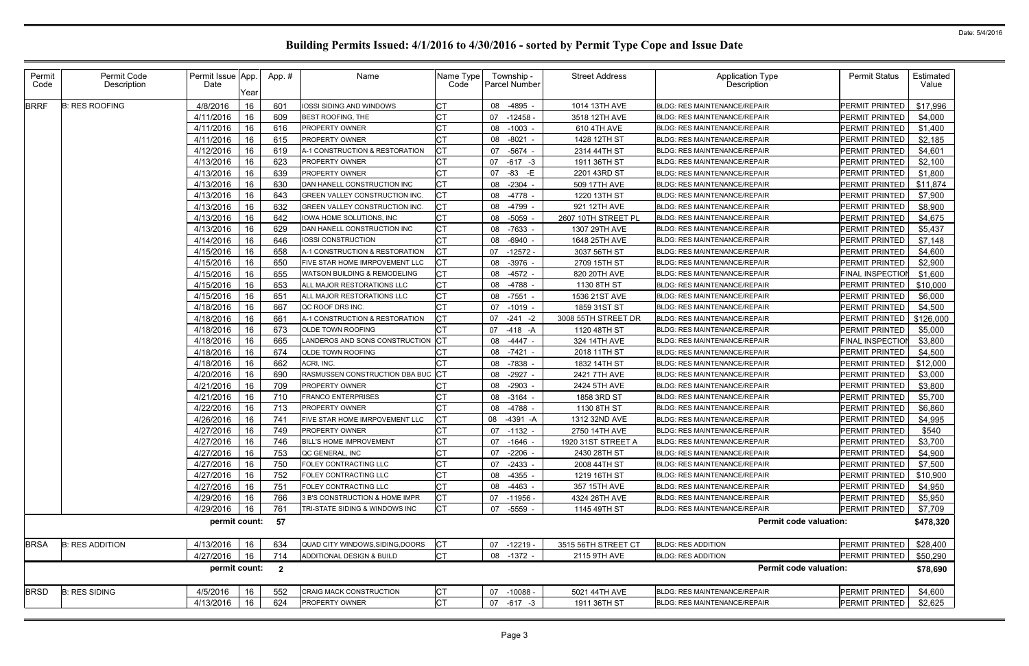| Permit<br>Code | Permit Code<br>Description | Permit Issue App.<br>Date | Year | App.#                    | Name                                    | Name Type<br>Code | Township -<br><b>Parcel Number</b> | <b>Street Address</b> | Application Type<br>Description     | <b>Permit Status</b>     | Estimated<br>Value |
|----------------|----------------------------|---------------------------|------|--------------------------|-----------------------------------------|-------------------|------------------------------------|-----------------------|-------------------------------------|--------------------------|--------------------|
| <b>BRRF</b>    | <b>B: RES ROOFING</b>      | 4/8/2016                  | 16   | 601                      | IOSSI SIDING AND WINDOWS                | СT                | 08 -4895                           | 1014 13TH AVE         | <b>BLDG: RES MAINTENANCE/REPAIR</b> | PERMIT PRINTED           | \$17,996           |
|                |                            | 4/11/2016                 | 16   | 609                      | BEST ROOFING, THE                       |                   | 07<br>$-12458$                     | 3518 12TH AVE         | <b>BLDG: RES MAINTENANCE/REPAIR</b> | PERMIT PRINTED           | \$4,000            |
|                |                            | 4/11/2016                 | 16   | 616                      | <b>PROPERTY OWNER</b>                   |                   | 08<br>$-1003 -$                    | 610 4TH AVE           | <b>BLDG: RES MAINTENANCE/REPAIR</b> | <b>PERMIT PRINTED</b>    | \$1,400            |
|                |                            | 4/11/2016                 | 16   | 615                      | PROPERTY OWNER                          | <b>CT</b>         | 08<br>$-8021$                      | 1428 12TH ST          | <b>BLDG: RES MAINTENANCE/REPAIR</b> | PERMIT PRINTED           | \$2,185            |
|                |                            | 4/12/2016                 | 16   | 619                      | A-1 CONSTRUCTION & RESTORATION          | CT                | 07<br>-5674                        | 2314 44TH ST          | <b>BLDG: RES MAINTENANCE/REPAIR</b> | <b>PERMIT PRINTED</b>    | \$4,601            |
|                |                            | 4/13/2016                 | 16   | 623                      | PROPERTY OWNER                          |                   | $-617 -3$<br>07                    | 1911 36TH ST          | <b>BLDG: RES MAINTENANCE/REPAIR</b> | PERMIT PRINTED           | \$2,100            |
|                |                            | 4/13/2016                 | 16   | 639                      | PROPERTY OWNER                          |                   | $-83$ $-E$<br>07                   | 2201 43RD ST          | <b>BLDG: RES MAINTENANCE/REPAIR</b> | <b>PERMIT PRINTED</b>    | \$1,800            |
|                |                            | 4/13/2016                 | 16   | 630                      | DAN HANELL CONSTRUCTION INC             |                   | 08 -2304                           | 509 17TH AVE          | <b>BLDG: RES MAINTENANCE/REPAIR</b> | PERMIT PRINTED           | \$11,874           |
|                |                            | 4/13/2016                 | 16   | 643                      | GREEN VALLEY CONSTRUCTION INC.          | <b>CT</b>         | 08<br>-4778                        | 1220 13TH ST          | <b>BLDG: RES MAINTENANCE/REPAIR</b> | PERMIT PRINTED           | \$7,900            |
|                |                            | 4/13/2016                 | 16   | 632                      | GREEN VALLEY CONSTRUCTION INC.          | СT                | 08<br>-4799                        | 921 12TH AVE          | <b>BLDG: RES MAINTENANCE/REPAIR</b> | <b>PERMIT PRINTED</b>    | \$8,900            |
|                |                            | 4/13/2016                 | 16   | 642                      | IOWA HOME SOLUTIONS, INC                | СT                | -5059<br>08                        | 2607 10TH STREET PL   | <b>BLDG: RES MAINTENANCE/REPAIR</b> | <b>PERMIT PRINTED</b>    | \$4,675            |
|                |                            | 4/13/2016                 | 16   | 629                      | DAN HANELL CONSTRUCTION INC             | CT                | 08 -7633 -                         | 1307 29TH AVE         | <b>BLDG: RES MAINTENANCE/REPAIR</b> | <b>PERMIT PRINTED</b>    | \$5,437            |
|                |                            | 4/14/2016                 | 16   | 646                      | IOSSI CONSTRUCTION                      | <b>CT</b>         | 08<br>-6940                        | 1648 25TH AVE         | <b>BLDG: RES MAINTENANCE/REPAIR</b> | PERMIT PRINTED           | \$7,148            |
|                |                            | 4/15/2016                 | 16   | 658                      | A-1 CONSTRUCTION & RESTORATION          | CT                | 07<br>$-12572$                     | 3037 56TH ST          | <b>BLDG: RES MAINTENANCE/REPAIR</b> | <b>PERMIT PRINTED</b>    | \$4,600            |
|                |                            | 4/15/2016                 | 16   | 650                      | FIVE STAR HOME IMRPOVEMENT LLC          |                   | -3976<br>08                        | 2709 15TH ST          | <b>BLDG: RES MAINTENANCE/REPAIR</b> | PERMIT PRINTED           | \$2,900            |
|                |                            | 4/15/2016                 | 16   | 655                      | <b>WATSON BUILDING &amp; REMODELING</b> | <b>CT</b>         | $-4572 -$<br>08                    | 820 20TH AVE          | <b>BLDG: RES MAINTENANCE/REPAIR</b> | <b>FINAL INSPECTIOI</b>  | \$1,600            |
|                |                            | 4/15/2016                 | 16   | 653                      | ALL MAJOR RESTORATIONS LLC              |                   | 08 -4788                           | 1130 8TH ST           | <b>BLDG: RES MAINTENANCE/REPAIR</b> | PERMIT PRINTED           | \$10,000           |
|                |                            | 4/15/2016                 | 16   | 651                      | ALL MAJOR RESTORATIONS LLC              | CT                | 08<br>$-7551$                      | 1536 21ST AVE         | <b>BLDG: RES MAINTENANCE/REPAIR</b> | PERMIT PRINTED           | \$6,000            |
|                |                            | 4/18/2016                 | 16   | 667                      | QC ROOF DRS INC.                        | СT                | 07<br>-1019                        | 1859 31ST ST          | <b>BLDG: RES MAINTENANCE/REPAIR</b> | <b>PERMIT PRINTED</b>    | \$4,500            |
|                |                            | 4/18/2016                 | 16   | 661                      | A-1 CONSTRUCTION & RESTORATION          |                   | $-241$<br>07<br>$-2$               | 3008 55TH STREET DR   | <b>BLDG: RES MAINTENANCE/REPAIR</b> | PERMIT PRINTED           | \$126,000          |
|                |                            | 4/18/2016                 | 16   | 673                      | <b>OLDE TOWN ROOFING</b>                |                   | 07<br>-418 -A                      | 1120 48TH ST          | <b>BLDG: RES MAINTENANCE/REPAIR</b> | <b>PERMIT PRINTED</b>    | \$5,000            |
|                |                            | 4/18/2016                 | 16   | 665                      | LANDEROS AND SONS CONSTRUCTION          |                   | $-4447 -$<br>08                    | 324 14TH AVE          | <b>BLDG: RES MAINTENANCE/REPAIR</b> | FINAL INSPECTIO          | \$3,800            |
|                |                            | 4/18/2016                 | 16   | 674                      | OLDE TOWN ROOFING                       |                   | 08<br>-7421                        | 2018 11TH ST          | <b>BLDG: RES MAINTENANCE/REPAIR</b> | <b>PERMIT PRINTED</b>    | \$4,500            |
|                |                            | 4/18/2016                 | 16   | 662                      | ACRI, INC.                              |                   | -7838<br>08                        | 1832 14TH ST          | <b>BLDG: RES MAINTENANCE/REPAIR</b> | PERMIT PRINTED           | \$12,000           |
|                |                            | 4/20/2016                 | 16   | 690                      | RASMUSSEN CONSTRUCTION DBA BUC          |                   | $-2927 -$<br>08                    | 2421 7TH AVE          | <b>BLDG: RES MAINTENANCE/REPAIR</b> | PERMIT PRINTED           | \$3,000            |
|                |                            | 4/21/2016                 | 16   | 709                      | PROPERTY OWNER                          |                   | 08 -2903                           | 2424 5TH AVE          | <b>BLDG: RES MAINTENANCE/REPAIR</b> | PERMIT PRINTED           | \$3,800            |
|                |                            | 4/21/2016                 | 16   | 710                      | <b>FRANCO ENTERPRISES</b>               |                   | 08<br>$-3164$                      | 1858 3RD ST           | BLDG: RES MAINTENANCE/REPAIR        | PERMIT PRINTED           | \$5,700            |
|                |                            | 4/22/2016                 | 16   | 713                      | <b>PROPERTY OWNER</b>                   | СT                | 08<br>-4788 -                      | 1130 8TH ST           | <b>BLDG: RES MAINTENANCE/REPAIR</b> | <b>PERMIT PRINTED</b>    | \$6,860            |
|                |                            | 4/26/2016                 | 16   | 741                      | FIVE STAR HOME IMRPOVEMENT LLC          |                   | $-4391 - A$<br>08                  | 1312 32ND AVE         | BLDG: RES MAINTENANCE/REPAIR        | PERMIT PRINTED           | \$4,995            |
|                |                            | 4/27/2016                 | 16   | 749                      | <b>PROPERTY OWNER</b>                   |                   | 07 -1132 -                         | 2750 14TH AVE         | <b>BLDG: RES MAINTENANCE/REPAIR</b> | <b>PERMIT PRINTED</b>    | \$540              |
|                |                            | 4/27/2016                 | 16   | 746                      | BILL'S HOME IMPROVEMENT                 | <b>CT</b>         | 07 -1646 -                         | 1920 31ST STREET A    | BLDG: RES MAINTENANCE/REPAIR        | PERMIT PRINTED   \$3,700 |                    |
|                |                            | 4/27/2016                 | 16   | 753                      | QC GENERAL, INC                         | СT                | -2206<br>07                        | 2430 28TH ST          | <b>BLDG: RES MAINTENANCE/REPAIR</b> | <b>PERMIT PRINTED</b>    | \$4,900            |
|                |                            | 4/27/2016                 | 16   | 750                      | FOLEY CONTRACTING LLC                   |                   | 07 -2433 -                         | 2008 44TH ST          | <b>BLDG: RES MAINTENANCE/REPAIR</b> | PERMIT PRINTED           | \$7,500            |
|                |                            | 4/27/2016                 | 16   | 752                      | FOLEY CONTRACTING LLC                   |                   | 08 -4355 -                         | 1219 16TH ST          | BLDG: RES MAINTENANCE/REPAIR        | PERMIT PRINTED           | \$10,900           |
|                |                            | 4/27/2016                 | 16   | 751                      | FOLEY CONTRACTING LLC                   | CT                | 08 -4463 -                         | 357 15TH AVE          | BLDG: RES MAINTENANCE/REPAIR        | PERMIT PRINTED           | \$4,950            |
|                |                            | 4/29/2016                 | 16   | 766                      | 3 B'S CONSTRUCTION & HOME IMPR          | <b>CT</b>         | 07 -11956                          | 4324 26TH AVE         | <b>BLDG: RES MAINTENANCE/REPAIR</b> | PERMIT PRINTED           | \$5,950            |
|                |                            | 4/29/2016                 | 16   | 761                      | TRI-STATE SIDING & WINDOWS INC          | <b>CT</b>         | 07<br>-5559                        | 1145 49TH ST          | <b>BLDG: RES MAINTENANCE/REPAIR</b> | <b>PERMIT PRINTED</b>    | \$7,709            |
|                |                            | permit count:             |      | 57                       |                                         |                   |                                    |                       | <b>Permit code valuation:</b>       |                          | \$478,320          |
| <b>BRSA</b>    | <b>B: RES ADDITION</b>     | 4/13/2016                 | 16   | 634                      | QUAD CITY WINDOWS, SIDING, DOORS        | <b>CT</b>         | 07 -12219 -                        | 3515 56TH STREET CT   | <b>BLDG: RES ADDITION</b>           | PERMIT PRINTED           | \$28,400           |
|                |                            | 4/27/2016                 | 16   | 714                      | ADDITIONAL DESIGN & BUILD               | <b>CT</b>         | 08 -1372 -                         | 2115 9TH AVE          | <b>BLDG: RES ADDITION</b>           | PERMIT PRINTED           | \$50,290           |
|                |                            | permit count:             |      | $\overline{\phantom{a}}$ |                                         |                   |                                    |                       | <b>Permit code valuation:</b>       |                          | \$78,690           |
|                |                            |                           |      | 552                      | CRAIG MACK CONSTRUCTION                 | <b>CT</b>         |                                    |                       |                                     |                          | \$4,600            |
| <b>BRSD</b>    | <b>B: RES SIDING</b>       | 4/5/2016                  | 16   |                          |                                         |                   | 07 -10088 -                        | 5021 44TH AVE         | BLDG: RES MAINTENANCE/REPAIR        | PERMIT PRINTED           |                    |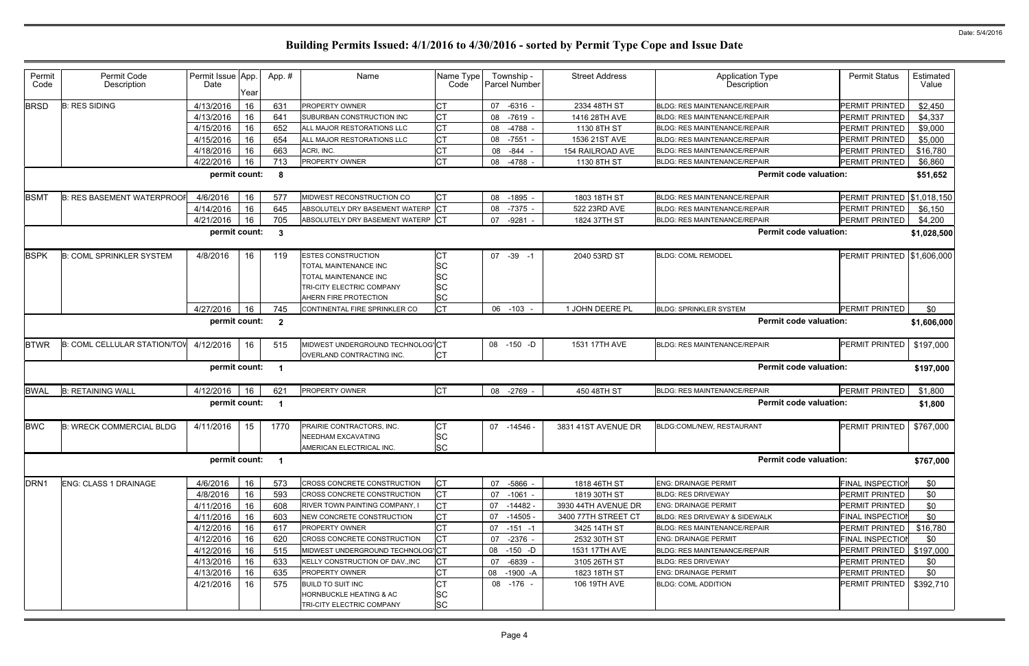| Permit<br>Code   | Permit Code<br>Description          | Permit Issue App.<br>Date |            | App.#                   | Name                                                                                                                              | Name Type<br>Code                   | Township -<br>Parcel Number | <b>Street Address</b> | <b>Application Type</b><br><b>Description</b> | <b>Permit Status</b>    | Estimated<br>Value |
|------------------|-------------------------------------|---------------------------|------------|-------------------------|-----------------------------------------------------------------------------------------------------------------------------------|-------------------------------------|-----------------------------|-----------------------|-----------------------------------------------|-------------------------|--------------------|
| <b>BRSD</b>      | <b>B: RES SIDING</b>                | 4/13/2016                 | Year<br>16 | 631                     | <b>PROPERTY OWNER</b>                                                                                                             | <b>CT</b>                           | 07<br>$-6316$               | 2334 48TH ST          | <b>BLDG: RES MAINTENANCE/REPAIR</b>           | PERMIT PRINTED          | \$2,450            |
|                  |                                     | 4/13/2016                 | 16         | 641                     | SUBURBAN CONSTRUCTION INC                                                                                                         | <b>CT</b>                           | $-7619$<br>08               | 1416 28TH AVE         | <b>BLDG: RES MAINTENANCE/REPAIR</b>           | PERMIT PRINTED          | \$4,337            |
|                  |                                     | 4/15/2016                 | 16         | 652                     | ALL MAJOR RESTORATIONS LLC                                                                                                        | <b>CT</b>                           | 08<br>-4788 -               | 1130 8TH ST           | <b>BLDG: RES MAINTENANCE/REPAIR</b>           | <b>PERMIT PRINTED</b>   | \$9,000            |
|                  |                                     | 4/15/2016                 | 16         | 654                     | ALL MAJOR RESTORATIONS LLC                                                                                                        | <b>CT</b>                           | 08 -7551                    | 1536 21ST AVE         | <b>BLDG: RES MAINTENANCE/REPAIR</b>           | PERMIT PRINTED          | \$5,000            |
|                  |                                     | 4/18/2016                 | 16         | 663                     | ACRI, INC.                                                                                                                        | <b>CT</b>                           | 08<br>-844                  | 154 RAILROAD AVE      | <b>BLDG: RES MAINTENANCE/REPAIR</b>           | PERMIT PRINTED          | \$16,780           |
|                  |                                     | 4/22/2016                 | 16         | 713                     | PROPERTY OWNER                                                                                                                    | <b>CT</b>                           | 08 -4788                    | 1130 8TH ST           | <b>BLDG: RES MAINTENANCE/REPAIR</b>           | PERMIT PRINTED          | \$6,860            |
|                  |                                     | permit count:             |            | - 8                     |                                                                                                                                   |                                     |                             |                       | <b>Permit code valuation:</b>                 |                         | \$51,652           |
| <b>BSMT</b>      | <b>B: RES BASEMENT WATERPROOF</b>   | 4/6/2016                  | 16         | 577                     | MIDWEST RECONSTRUCTION CO                                                                                                         | Iст                                 | $-1895$<br>08               | 1803 18TH ST          | <b>BLDG: RES MAINTENANCE/REPAIR</b>           | PERMIT PRINTED          | \$1,018,150        |
|                  |                                     | 4/14/2016                 | 16         | 645                     | ABSOLUTELY DRY BASEMENT WATERP CT                                                                                                 |                                     | 08 -7375 -                  | 522 23RD AVE          | <b>BLDG: RES MAINTENANCE/REPAIR</b>           | <b>PERMIT PRINTED</b>   | \$6,150            |
|                  |                                     | 4/21/2016                 | 16         | 705                     | ABSOLUTELY DRY BASEMENT WATERP CT                                                                                                 |                                     | -9281<br>07                 | 1824 37TH ST          | <b>BLDG: RES MAINTENANCE/REPAIR</b>           | PERMIT PRINTED          | \$4,200            |
|                  |                                     | permit count:             |            | -3                      |                                                                                                                                   |                                     |                             |                       | <b>Permit code valuation:</b>                 |                         | \$1,028,500        |
| <b>BSPK</b>      | <b>B: COML SPRINKLER SYSTEM</b>     | 4/8/2016                  | 16         | 119                     | <b>ESTES CONSTRUCTION</b><br>TOTAL MAINTENANCE INC<br>TOTAL MAINTENANCE INC<br>TRI-CITY ELECTRIC COMPANY<br>AHERN FIRE PROTECTION | <b>CT</b><br>SC<br>SC<br>SC<br>SC   | 07 -39 -1                   | 2040 53RD ST          | <b>BLDG: COML REMODEL</b>                     | PERMIT PRINTED          | \$1,606,000        |
|                  |                                     | 4/27/2016                 | 16         | 745                     | CONTINENTAL FIRE SPRINKLER CO                                                                                                     | <b>CT</b>                           | 06 -103                     | 1 JOHN DEERE PL       | <b>BLDG: SPRINKLER SYSTEM</b>                 | <b>PERMIT PRINTED</b>   | \$0                |
|                  |                                     | permit count:             |            | $\overline{\mathbf{2}}$ |                                                                                                                                   |                                     |                             |                       | <b>Permit code valuation:</b>                 |                         | \$1,606,000        |
| <b>BTWR</b>      | <b>B: COML CELLULAR STATION/TOV</b> | 4/12/2016                 | 16         | 515                     | MIDWEST UNDERGROUND TECHNOLOG'CT<br>OVERLAND CONTRACTING INC.                                                                     | <b>CT</b>                           | 08 -150 -D                  | 1531 17TH AVE         | <b>BLDG: RES MAINTENANCE/REPAIR</b>           | PERMIT PRINTED          | \$197,000          |
|                  |                                     | permit count:             |            | - 1                     |                                                                                                                                   |                                     |                             |                       | <b>Permit code valuation:</b>                 |                         | \$197,000          |
| <b>BWAL</b>      | <b>B: RETAINING WALL</b>            | 4/12/2016                 | 16         | 621                     | PROPERTY OWNER                                                                                                                    | Iст                                 | 08 -2769                    | 450 48TH ST           | <b>BLDG: RES MAINTENANCE/REPAIR</b>           | PERMIT PRINTED          | \$1,800            |
|                  |                                     | permit count:             |            | - 1                     |                                                                                                                                   |                                     |                             |                       | <b>Permit code valuation:</b>                 |                         | \$1,800            |
| <b>BWC</b>       | <b>B: WRECK COMMERCIAL BLDG</b>     | 4/11/2016                 | 15         | 1770                    | PRAIRIE CONTRACTORS, INC.<br>NEEDHAM EXCAVATING<br>AMERICAN ELECTRICAL INC.                                                       | <b>CT</b><br>SC<br><b>SC</b>        | 07 -14546 -                 | 3831 41ST AVENUE DR   | BLDG:COML/NEW, RESTAURANT                     | <b>PERMIT PRINTED</b>   | \$767,000          |
|                  |                                     | permit count:             |            | $\blacksquare$          |                                                                                                                                   |                                     |                             |                       | <b>Permit code valuation:</b>                 |                         | \$767,000          |
| DRN <sub>1</sub> | ENG: CLASS 1 DRAINAGE               | 4/6/2016                  | 16         | 573                     | CROSS CONCRETE CONSTRUCTION                                                                                                       | <b>CT</b>                           | 07 -5866                    | 1818 46TH ST          | <b>ENG: DRAINAGE PERMIT</b>                   | <b>FINAL INSPECTIOI</b> | \$0                |
|                  |                                     | 4/8/2016                  | 16         | 593                     | CROSS CONCRETE CONSTRUCTION                                                                                                       | Iст                                 | 07 -1061 -                  | 1819 30TH ST          | <b>BLDG: RES DRIVEWAY</b>                     | PERMIT PRINTED          | \$0                |
|                  |                                     | 4/11/2016                 | 16         | 608                     | RIVER TOWN PAINTING COMPANY, I                                                                                                    | <b>CT</b>                           | 07 -14482 -                 | 3930 44TH AVENUE DR   | <b>ENG: DRAINAGE PERMIT</b>                   | <b>PERMIT PRINTED</b>   | \$0                |
|                  |                                     | 4/11/2016                 | 16         | 603                     | NEW CONCRETE CONSTRUCTION                                                                                                         | <b>CT</b>                           | 07 -14505 -                 | 3400 77TH STREET CT   | BLDG: RES DRIVEWAY & SIDEWALK                 | <b>FINAL INSPECTION</b> | \$0                |
|                  |                                     | 4/12/2016                 | 16         | 617                     | PROPERTY OWNER                                                                                                                    | <b>CT</b>                           | $07 - 151 - 1$              | 3425 14TH ST          | <b>BLDG: RES MAINTENANCE/REPAIR</b>           | PERMIT PRINTED          | \$16,780           |
|                  |                                     | 4/12/2016                 | 16         | 620                     | CROSS CONCRETE CONSTRUCTION                                                                                                       | Iст                                 | 07<br>$-2376$ -             | 2532 30TH ST          | <b>ENG: DRAINAGE PERMIT</b>                   | <b>FINAL INSPECTION</b> | \$0                |
|                  |                                     | 4/12/2016                 | 16         | 515                     | MIDWEST UNDERGROUND TECHNOLOG'CT                                                                                                  |                                     | $-150 - D$<br>08            | 1531 17TH AVE         | <b>BLDG: RES MAINTENANCE/REPAIR</b>           | PERMIT PRINTED          | \$197,000          |
|                  |                                     | 4/13/2016                 | 16         | 633                     | KELLY CONSTRUCTION OF DAV., INC                                                                                                   | Iст                                 | $-6839 -$<br>07             | 3105 26TH ST          | <b>BLDG: RES DRIVEWAY</b>                     | <b>PERMIT PRINTED</b>   | \$0                |
|                  |                                     | 4/13/2016                 | 16         | 635                     | PROPERTY OWNER                                                                                                                    | <b>CT</b>                           | 08 -1900 -A                 | 1823 18TH ST          | <b>ENG: DRAINAGE PERMIT</b>                   | PERMIT PRINTED          | \$0                |
|                  |                                     | 4/21/2016                 | 16         | 575                     | <b>BUILD TO SUIT INC</b><br><b>HORNBUCKLE HEATING &amp; AC</b><br>TRI-CITY ELECTRIC COMPANY                                       | <b>CT</b><br><b>SC</b><br><b>SC</b> | 08 -176 -                   | 106 19TH AVE          | <b>BLDG: COML ADDITION</b>                    | PERMIT PRINTED          | \$392,710          |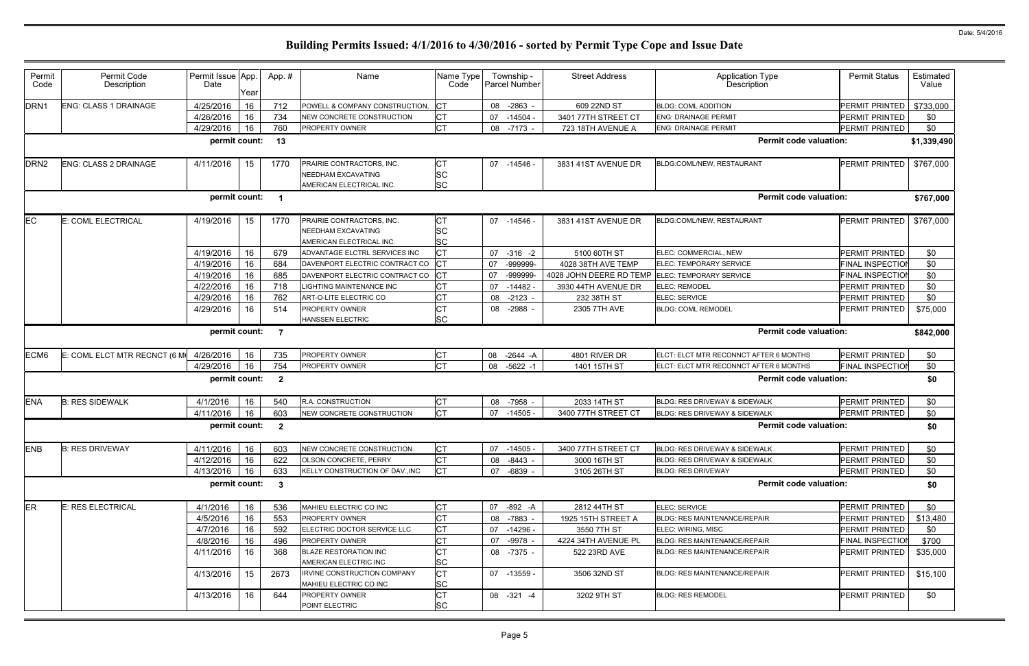| Permit<br>Code   | Permit Code<br>Description   | Permit Issue App.<br>Date | Year | App.#                   | Name                                                                               | Name Type<br>Code                   | Township -<br><b>Parcel Number</b> | <b>Street Address</b>   | <b>Application Type</b><br><b>Description</b> | <b>Permit Status</b>    | Estimated<br>Value |
|------------------|------------------------------|---------------------------|------|-------------------------|------------------------------------------------------------------------------------|-------------------------------------|------------------------------------|-------------------------|-----------------------------------------------|-------------------------|--------------------|
| DRN <sub>1</sub> | <b>ENG: CLASS 1 DRAINAGE</b> | 4/25/2016                 | 16   | 712                     | POWELL & COMPANY CONSTRUCTION,                                                     | <b>CT</b>                           | $-2863$ -<br>08                    | 609 22ND ST             | <b>BLDG: COML ADDITION</b>                    | PERMIT PRINTED          | \$733,000          |
|                  |                              | 4/26/2016                 | 16   | 734                     | NEW CONCRETE CONSTRUCTION                                                          | <b>CT</b>                           | 07<br>$-14504 -$                   | 3401 77TH STREET CT     | <b>ENG: DRAINAGE PERMIT</b>                   | PERMIT PRINTED          | \$0                |
|                  |                              | 4/29/2016                 | 16   | 760                     | <b>PROPERTY OWNER</b>                                                              | <b>CT</b>                           | 08 -7173 -                         | 723 18TH AVENUE A       | <b>ENG: DRAINAGE PERMIT</b>                   | PERMIT PRINTED          | \$0                |
|                  |                              | permit count:             |      | 13                      |                                                                                    |                                     |                                    |                         | <b>Permit code valuation:</b>                 |                         | \$1,339,490        |
| DRN <sub>2</sub> | ENG: CLASS 2 DRAINAGE        | 4/11/2016                 | 15   | 1770                    | PRAIRIE CONTRACTORS, INC.<br><b>NEEDHAM EXCAVATING</b><br>AMERICAN ELECTRICAL INC. | <b>CT</b><br><b>SC</b><br><b>SC</b> | 07 -14546 -                        | 3831 41ST AVENUE DR     | BLDG:COML/NEW, RESTAURANT                     | PERMIT PRINTED          | \$767,000          |
|                  |                              | permit count:             |      | - 1                     |                                                                                    |                                     |                                    |                         | <b>Permit code valuation:</b>                 |                         | \$767,000          |
| ЕC               | E: COML ELECTRICAL           | 4/19/2016                 | 15   | 1770                    | PRAIRIE CONTRACTORS, INC.<br><b>NEEDHAM EXCAVATING</b><br>AMERICAN ELECTRICAL INC. | <b>CT</b><br><b>SC</b><br><b>SC</b> | 07 -14546 -                        | 3831 41ST AVENUE DR     | BLDG:COML/NEW, RESTAURANT                     | PERMIT PRINTED          | \$767,000          |
|                  |                              | 4/19/2016                 | 16   | 679                     | ADVANTAGE ELCTRL SERVICES INC                                                      | <b>CT</b>                           | 07<br>$-316 - 2$                   | 5100 60TH ST            | ELEC: COMMERCIAL, NEW                         | PERMIT PRINTED          | \$0                |
|                  |                              | 4/19/2016                 | 16   | 684                     | DAVENPORT ELECTRIC CONTRACT CO                                                     |                                     | 07<br>-999999-                     | 4028 38TH AVE TEMP      | ELEC: TEMPORARY SERVICE                       | <b>FINAL INSPECTION</b> | \$0                |
|                  |                              | 4/19/2016                 | 16   | 685                     | DAVENPORT ELECTRIC CONTRACT CO                                                     | СT                                  | -999999-<br>07                     | 4028 JOHN DEERE RD TEMP | <b>ELEC: TEMPORARY SERVICE</b>                | <b>FINAL INSPECTIOI</b> | \$0                |
|                  |                              | 4/22/2016                 | 16   | 718                     | LIGHTING MAINTENANCE INC                                                           | СT                                  | 07<br>$-14482$                     | 3930 44TH AVENUE DR     | <b>ELEC: REMODEL</b>                          | PERMIT PRINTED          | \$0                |
|                  |                              | 4/29/2016                 | 16   | 762                     | ART-O-LITE ELECTRIC CO                                                             | <b>CT</b>                           | $-2123 -$<br>08                    | 232 38TH ST             | ELEC: SERVICE                                 | PERMIT PRINTED          | \$0                |
|                  |                              | 4/29/2016                 | 16   | 514                     | PROPERTY OWNER<br>HANSSEN ELECTRIC                                                 | <b>CT</b><br><b>SC</b>              | -2988 -<br>08                      | 2305 7TH AVE            | <b>BLDG: COML REMODEL</b>                     | PERMIT PRINTED          | \$75,000           |
|                  |                              | permit count:             |      | $\overline{7}$          |                                                                                    |                                     |                                    |                         | <b>Permit code valuation:</b>                 |                         | \$842,000          |
| ECM <sub>6</sub> | E: COML ELCT MTR RECNCT (6 M | 4/26/2016                 | 16   | 735                     | <b>PROPERTY OWNER</b>                                                              | СT                                  | $-2644 - A$<br>08                  | 4801 RIVER DR           | ELCT: ELCT MTR RECONNCT AFTER 6 MONTHS        | PERMIT PRINTED          | \$0                |
|                  |                              | 4/29/2016                 | 16   | 754                     | PROPERTY OWNER                                                                     | <b>CT</b>                           | 08<br>$-5622 - 1$                  | 1401 15TH ST            | ELCT: ELCT MTR RECONNCT AFTER 6 MONTHS        | FINAL INSPECTIOI        | \$0                |
|                  |                              | permit count:             |      | $\overline{\mathbf{2}}$ |                                                                                    |                                     |                                    |                         | <b>Permit code valuation:</b>                 |                         | \$0                |
| <b>ENA</b>       | <b>B: RES SIDEWALK</b>       | 4/1/2016                  | 16   | 540                     | R.A. CONSTRUCTION                                                                  | <b>CT</b>                           | -7958 -<br>08                      | 2033 14TH ST            | BLDG: RES DRIVEWAY & SIDEWALK                 | PERMIT PRINTED          | \$0                |
|                  |                              | 4/11/2016                 | 16   | 603                     | <b>INEW CONCRETE CONSTRUCTION</b>                                                  | <b>CT</b>                           | 07<br>$-14505$                     | 3400 77TH STREET CT     | <b>BLDG: RES DRIVEWAY &amp; SIDEWALK</b>      | PERMIT PRINTED          | \$0                |
|                  |                              | permit count:             |      | $\overline{\mathbf{2}}$ |                                                                                    |                                     |                                    |                         | <b>Permit code valuation:</b>                 |                         | \$0                |
| <b>ENB</b>       | <b>B: RES DRIVEWAY</b>       | 4/11/2016                 | 16   | 603                     | NEW CONCRETE CONSTRUCTION                                                          | <b>CT</b>                           | 07 -14505 -                        | 3400 77TH STREET CT     | <b>BLDG: RES DRIVEWAY &amp; SIDEWALK</b>      | PERMIT PRINTED          | \$0                |
|                  |                              | 4/12/2016                 | 16   | 622                     | OLSON CONCRETE, PERRY                                                              | <b>CT</b>                           | 08 -8443 -                         | 3000 16TH ST            | BLDG: RES DRIVEWAY & SIDEWALK                 | PERMIT PRINTED          | \$0                |
|                  |                              | 4/13/2016                 | 16   | 633                     | KELLY CONSTRUCTION OF DAV., INC                                                    | Iст                                 | 07 -6839 -                         | 3105 26TH ST            | <b>BLDG: RES DRIVEWAY</b>                     | PERMIT PRINTED          | \$0                |
|                  |                              | permit count:             |      | $\overline{\mathbf{3}}$ |                                                                                    |                                     |                                    |                         | <b>Permit code valuation:</b>                 |                         | \$0                |
| <b>ER</b>        | E: RES ELECTRICAL            | 4/1/2016                  | 16   | 536                     | MAHIEU ELECTRIC CO INC                                                             | СT                                  | 07<br>-892 -A                      | 2812 44TH ST            | ELEC: SERVICE                                 | PERMIT PRINTED          | \$0                |
|                  |                              | 4/5/2016                  | 16   | 553                     | <b>PROPERTY OWNER</b>                                                              | <b>CT</b>                           | 08 -7883 -                         | 1925 15TH STREET A      | BLDG: RES MAINTENANCE/REPAIR                  | PERMIT PRINTED          | \$13,480           |
|                  |                              | 4/7/2016                  | 16   | 592                     | ELECTRIC DOCTOR SERVICE LLC                                                        | <b>CT</b>                           | 07 -14296 -                        | 3550 7TH ST             | ELEC: WIRING, MISC                            | PERMIT PRINTED          | \$0                |
|                  |                              | 4/8/2016                  | 16   | 496                     | PROPERTY OWNER                                                                     | <b>CT</b>                           | -9978 -<br>07                      | 4224 34TH AVENUE PL     | BLDG: RES MAINTENANCE/REPAIR                  | FINAL INSPECTION        | \$700              |
|                  |                              | 4/11/2016                 | 16   | 368                     | <b>BLAZE RESTORATION INC</b><br>AMERICAN ELECTRIC INC                              | <b>CT</b><br><b>SC</b>              | 08 -7375 -                         | 522 23RD AVE            | <b>BLDG: RES MAINTENANCE/REPAIR</b>           | PERMIT PRINTED          | \$35,000           |
|                  |                              | 4/13/2016                 | 15   | 2673                    | <b>IRVINE CONSTRUCTION COMPANY</b><br>MAHIEU ELECTRIC CO INC                       | <b>CT</b><br><b>SC</b>              | 07 -13559 -                        | 3506 32ND ST            | <b>BLDG: RES MAINTENANCE/REPAIR</b>           | <b>PERMIT PRINTED</b>   | \$15,100           |
|                  |                              | 4/13/2016                 | 16   | 644                     | PROPERTY OWNER<br>POINT ELECTRIC                                                   | <b>CT</b><br><b>SC</b>              | 08 - 321 - 4                       | 3202 9TH ST             | <b>BLDG: RES REMODEL</b>                      | PERMIT PRINTED          | \$0                |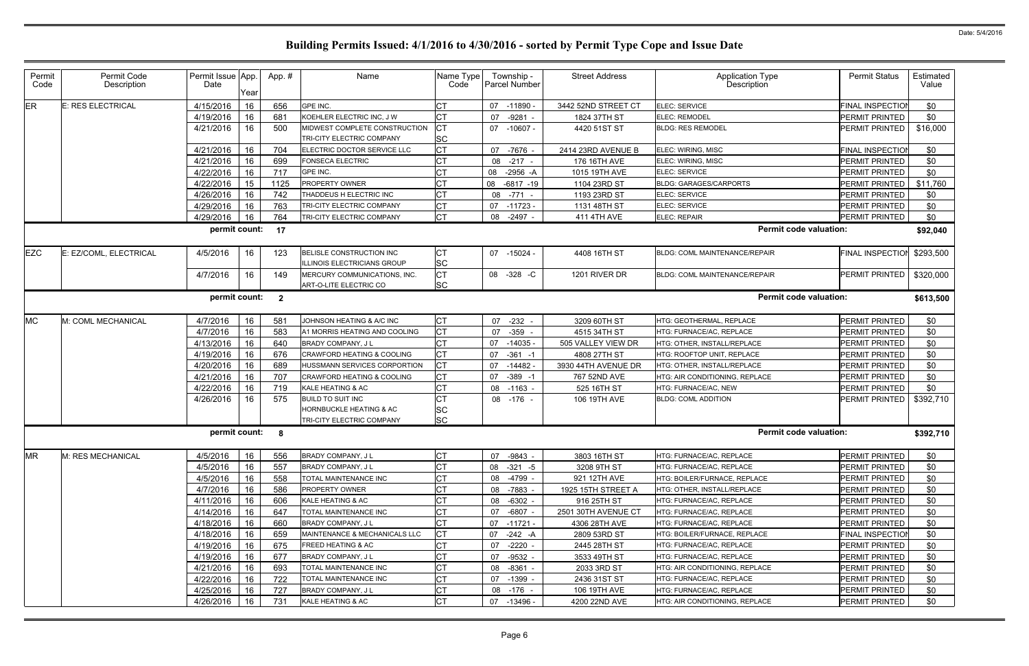| Permit<br>Code                                                            | Permit Code<br>Description | Permit Issue App.<br>Date | Year | App.# | Name                                                       | Name Type<br>Code      | Township -<br>Parcel Number | <b>Street Address</b> | Application Type<br>Description      | <b>Permit Status</b>    | Estimated<br>Value |
|---------------------------------------------------------------------------|----------------------------|---------------------------|------|-------|------------------------------------------------------------|------------------------|-----------------------------|-----------------------|--------------------------------------|-------------------------|--------------------|
| <b>ER</b>                                                                 | E: RES ELECTRICAL          | 4/15/2016                 | 16   | 656   | <b>GPE INC.</b>                                            | <b>CT</b>              | 07<br>$-11890$              | 3442 52ND STREET CT   | ELEC: SERVICE                        | <b>FINAL INSPECTIOI</b> | \$0                |
|                                                                           |                            | 4/19/2016                 | 16   | 681   | KOEHLER ELECTRIC INC, J W                                  | <b>CT</b>              | 07<br>$-9281$               | 1824 37TH ST          | <b>ELEC: REMODEL</b>                 | <b>PERMIT PRINTED</b>   | \$0                |
|                                                                           |                            | 4/21/2016                 | 16   | 500   | MIDWEST COMPLETE CONSTRUCTION<br>TRI-CITY ELECTRIC COMPANY | Iст<br><b>SC</b>       | 07 -10607 -                 | 4420 51ST ST          | <b>BLDG: RES REMODEL</b>             | PERMIT PRINTED          | \$16,000           |
|                                                                           |                            | 4/21/2016                 | 16   | 704   | ELECTRIC DOCTOR SERVICE LLC                                | <b>CT</b>              | 07<br>-7676                 | 2414 23RD AVENUE B    | ELEC: WIRING, MISC                   | <b>FINAL INSPECTIOI</b> | \$0                |
|                                                                           |                            | 4/21/2016                 | 16   | 699   | <b>FONSECA ELECTRIC</b>                                    | <b>CT</b>              | $-217 -$<br>08              | 176 16TH AVE          | ELEC: WIRING, MISC                   | PERMIT PRINTED          | \$0                |
|                                                                           |                            | 4/22/2016                 | 16   | 717   | GPE INC.                                                   | <b>CT</b>              | 08<br>$-2956 - A$           | 1015 19TH AVE         | ELEC: SERVICE                        | PERMIT PRINTED          | \$0                |
|                                                                           |                            | 4/22/2016                 | 15   | 1125  | PROPERTY OWNER                                             | СT                     | 08<br>$-6817 - 19$          | 1104 23RD ST          | <b>BLDG: GARAGES/CARPORTS</b>        | PERMIT PRINTED          | \$11,760           |
|                                                                           |                            | 4/26/2016                 | 16   | 742   | THADDEUS H ELECTRIC INC                                    | <b>CT</b>              | 08 -771                     | 1193 23RD ST          | ELEC: SERVICE                        | PERMIT PRINTED          | \$0                |
|                                                                           |                            | 4/29/2016                 | 16   | 763   | TRI-CITY ELECTRIC COMPANY                                  | <b>CT</b>              | 07<br>$-11723$              | 1131 48TH ST          | ELEC: SERVICE                        | PERMIT PRINTED          | \$0                |
|                                                                           |                            | 4/29/2016                 | 16   | 764   | TRI-CITY ELECTRIC COMPANY                                  | <b>CT</b>              | $-2497$<br>08               | 411 4TH AVE           | ELEC: REPAIR                         | PERMIT PRINTED          | \$0                |
|                                                                           |                            | permit count:             |      | 17    |                                                            |                        |                             |                       | <b>Permit code valuation:</b>        |                         | \$92,040           |
| <b>EZC</b>                                                                | E: EZ/COML, ELECTRICAL     | 4/5/2016                  | 16   | 123   | BELISLE CONSTRUCTION INC<br>ILLINOIS ELECTRICIANS GROUP    | <b>CT</b><br><b>SC</b> | 07 -15024                   | 4408 16TH ST          | BLDG: COML MAINTENANCE/REPAIR        | FINAL INSPECTION        | \$293,500          |
|                                                                           |                            | 4/7/2016                  | 16   | 149   | MERCURY COMMUNICATIONS, INC.<br>ART-O-LITE ELECTRIC CO     | <b>CT</b><br><b>SC</b> | 08 -328 -C                  | 1201 RIVER DR         | <b>BLDG: COML MAINTENANCE/REPAIR</b> | PERMIT PRINTED          | \$320,000          |
| <b>Permit code valuation:</b><br>permit count:<br>$\overline{\mathbf{2}}$ |                            |                           |      |       |                                                            |                        |                             |                       |                                      |                         | \$613,500          |
| <b>MC</b>                                                                 | M: COML MECHANICAL         | 4/7/2016                  | 16   | 581   | JOHNSON HEATING & A/C INC                                  | <b>CT</b>              | 07 -232                     | 3209 60TH ST          | HTG: GEOTHERMAL, REPLACE             | PERMIT PRINTED          | \$0                |
|                                                                           |                            | 4/7/2016                  | 16   | 583   | A1 MORRIS HEATING AND COOLING                              | <b>CT</b>              | -359<br>07                  | 4515 34TH ST          | HTG: FURNACE/AC, REPLACE             | <b>PERMIT PRINTED</b>   | \$0                |
|                                                                           |                            | 4/13/2016                 | 16   | 640   | <b>BRADY COMPANY, JL</b>                                   | <b>CT</b>              | $-14035$<br>07              | 505 VALLEY VIEW DR    | HTG: OTHER, INSTALL/REPLACE          | PERMIT PRINTED          | \$0                |
|                                                                           |                            | 4/19/2016                 | 16   | 676   | <b>CRAWFORD HEATING &amp; COOLING</b>                      | <b>CT</b>              | 07<br>$-361 - 1$            | 4808 27TH ST          | HTG: ROOFTOP UNIT, REPLACE           | <b>PERMIT PRINTED</b>   | \$0                |
|                                                                           |                            | 4/20/2016                 | 16   | 689   | HUSSMANN SERVICES CORPORTION                               | <b>CT</b>              | 07<br>$-14482$              | 3930 44TH AVENUE DR   | HTG: OTHER, INSTALL/REPLACE          | PERMIT PRINTED          | \$0                |
|                                                                           |                            | 4/21/2016                 | 16   | 707   | CRAWFORD HEATING & COOLING                                 | <b>CT</b>              | $-389 - 1$<br>07            | 767 52ND AVE          | HTG: AIR CONDITIONING, REPLACE       | PERMIT PRINTED          | \$0                |
|                                                                           |                            | 4/22/2016                 | 16   | 719   | KALE HEATING & AC                                          | <b>CT</b>              | 08<br>$-1163$               | 525 16TH ST           | HTG: FURNACE/AC, NEW                 | PERMIT PRINTED          | \$0                |
|                                                                           |                            | 4/26/2016                 | 16   | 575   | <b>BUILD TO SUIT INC</b>                                   | CT                     | 08 -176 -                   | 106 19TH AVE          | <b>BLDG: COML ADDITION</b>           | PERMIT PRINTED          | \$392,710          |
|                                                                           |                            |                           |      |       | <b>HORNBUCKLE HEATING &amp; AC</b>                         | <b>SC</b>              |                             |                       |                                      |                         |                    |
|                                                                           |                            |                           |      |       | TRI-CITY ELECTRIC COMPANY                                  | <b>SC</b>              |                             |                       |                                      |                         |                    |
|                                                                           |                            | permit count: 8           |      |       |                                                            |                        |                             |                       | <b>Permit code valuation:</b>        |                         | \$392,710          |
| <b>MR</b>                                                                 | <b>IM: RES MECHANICAL</b>  | 4/5/2016                  | 16   | 556   | <b>BRADY COMPANY, JL</b>                                   | CT                     | 07 -9843 -                  | 3803 16TH ST          | HTG: FURNACE/AC, REPLACE             | <b>PERMIT PRINTED</b>   | \$0                |
|                                                                           |                            | 4/5/2016                  | 16   | 557   | <b>BRADY COMPANY, JL</b>                                   | <b>CT</b>              | $-321 - 5$<br>08            | 3208 9TH ST           | HTG: FURNACE/AC, REPLACE             | PERMIT PRINTED          | \$0                |
|                                                                           |                            | 4/5/2016                  | 16   | 558   | TOTAL MAINTENANCE INC                                      | <b>CT</b>              | 08 -4799 -                  | 921 12TH AVE          | <b>HTG: BOILER/FURNACE, REPLACE</b>  | PERMIT PRINTED          | \$0                |
|                                                                           |                            | 4/7/2016                  | 16   | 586   | <b>PROPERTY OWNER</b>                                      | C <sub>T</sub>         | $-7883 -$<br>08             | 1925 15TH STREET A    | HTG: OTHER, INSTALL/REPLACE          | PERMIT PRINTED          | \$0                |
|                                                                           |                            | 4/11/2016                 | 16   | 606   | KALE HEATING & AC                                          | C <sub>T</sub>         | 08 -6302 -                  | 916 25TH ST           | HTG: FURNACE/AC, REPLACE             | <b>PERMIT PRINTED</b>   | \$0                |
|                                                                           |                            | 4/14/2016                 | 16   | 647   | TOTAL MAINTENANCE INC                                      | <b>CT</b>              | $-6807 -$<br>07             | 2501 30TH AVENUE CT   | HTG: FURNACE/AC, REPLACE             | PERMIT PRINTED          | \$0                |
|                                                                           |                            | 4/18/2016                 | 16   | 660   | <b>BRADY COMPANY, JL</b>                                   | <b>CT</b>              | 07<br>-11721 -              | 4306 28TH AVE         | HTG: FURNACE/AC, REPLACE             | PERMIT PRINTED          | \$0                |
|                                                                           |                            | 4/18/2016                 | 16   | 659   | MAINTENANCE & MECHANICALS LLC                              | <b>CT</b>              | 07<br>-242 -A               | 2809 53RD ST          | <b>HTG: BOILER/FURNACE, REPLACE</b>  | <b>FINAL INSPECTION</b> | \$0                |
|                                                                           |                            | 4/19/2016                 | 16   | 675   | <b>FREED HEATING &amp; AC</b>                              | <b>CT</b>              | $-2220 -$<br>07             | 2445 28TH ST          | HTG: FURNACE/AC, REPLACE             | <b>PERMIT PRINTED</b>   | \$0                |
|                                                                           |                            | 4/19/2016                 | 16   | 677   | <b>BRADY COMPANY, JL</b>                                   | <b>CT</b>              | 07 -9532 -                  | 3533 49TH ST          | HTG: FURNACE/AC, REPLACE             | PERMIT PRINTED          | \$0                |
|                                                                           |                            | 4/21/2016                 | 16   | 693   | TOTAL MAINTENANCE INC                                      | <b>CT</b>              | 08 -8361 -                  | 2033 3RD ST           | HTG: AIR CONDITIONING, REPLACE       | PERMIT PRINTED          | \$0                |
|                                                                           |                            | 4/22/2016                 | 16   | 722   | TOTAL MAINTENANCE INC                                      | <b>CT</b>              | 07 -1399                    | 2436 31ST ST          | HTG: FURNACE/AC, REPLACE             | PERMIT PRINTED          | \$0                |
|                                                                           |                            | 4/25/2016                 | 16   | 727   | BRADY COMPANY, J L                                         | <b>CT</b>              | 08 -176 -                   | 106 19TH AVE          | HTG: FURNACE/AC, REPLACE             | PERMIT PRINTED          | \$0                |
|                                                                           |                            | 4/26/2016                 | 16   | 731   | KALE HEATING & AC                                          | <b>CT</b>              | 07 -13496 -                 | 4200 22ND AVE         | HTG: AIR CONDITIONING, REPLACE       | PERMIT PRINTED          | \$0                |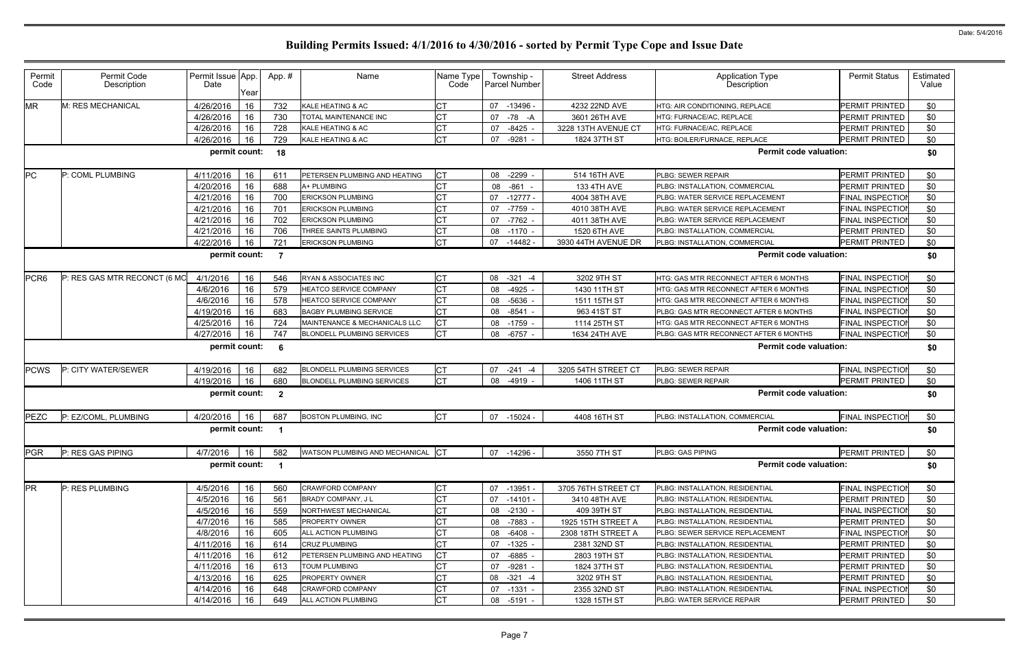| Permit<br>Code   | Permit Code<br>Description   | Permit Issue App.<br>Date | Year | App.#                   | Name                              | Name Type<br>Code | Township -<br><b>Parcel Number</b> | <b>Street Address</b> | <b>Application Type</b><br>Description | <b>Permit Status</b>    | Estimated<br>Value |
|------------------|------------------------------|---------------------------|------|-------------------------|-----------------------------------|-------------------|------------------------------------|-----------------------|----------------------------------------|-------------------------|--------------------|
| <b>MR</b>        | M: RES MECHANICAL            | 4/26/2016                 | 16   | 732                     | KALE HEATING & AC                 | <b>CT</b>         | 07<br>$-13496$                     | 4232 22ND AVE         | HTG: AIR CONDITIONING, REPLACE         | PERMIT PRINTED          | \$0                |
|                  |                              | 4/26/2016                 | 16   | 730                     | TOTAL MAINTENANCE INC             | <b>CT</b>         | -78 -A<br>07                       | 3601 26TH AVE         | HTG: FURNACE/AC, REPLACE               | <b>PERMIT PRINTED</b>   | \$0                |
|                  |                              | 4/26/2016                 | 16   | 728                     | KALE HEATING & AC                 | <b>CT</b>         | $-8425$<br>07                      | 3228 13TH AVENUE CT   | HTG: FURNACE/AC, REPLACE               | PERMIT PRINTED          | \$0                |
|                  |                              | 4/26/2016                 | 16   | 729                     | KALE HEATING & AC                 | <b>CT</b>         | 07<br>$-9281$                      | 1824 37TH ST          | HTG: BOILER/FURNACE, REPLACE           | PERMIT PRINTED          | \$0                |
|                  |                              | permit count:             |      | 18                      |                                   |                   |                                    |                       | <b>Permit code valuation:</b>          |                         | \$0                |
| <b>PC</b>        | P: COML PLUMBING             | 4/11/2016                 | 16   | 611                     | PETERSEN PLUMBING AND HEATING     | Iст               | 08 -2299                           | 514 16TH AVE          | PLBG: SEWER REPAIR                     | PERMIT PRINTED          | \$0                |
|                  |                              | 4/20/2016                 | 16   | 688                     | A+ PLUMBING                       | <b>CT</b>         | 08<br>-861                         | 133 4TH AVE           | PLBG: INSTALLATION, COMMERCIAL         | PERMIT PRINTED          | \$0                |
|                  |                              | 4/21/2016                 | 16   | 700                     | <b>ERICKSON PLUMBING</b>          | <b>CT</b>         | 07<br>$-12777-$                    | 4004 38TH AVE         | PLBG: WATER SERVICE REPLACEMENT        | <b>FINAL INSPECTIOI</b> | \$0                |
|                  |                              | 4/21/2016                 | 16   | 701                     | <b>ERICKSON PLUMBING</b>          | <b>CT</b>         | 07 -7759                           | 4010 38TH AVE         | PLBG: WATER SERVICE REPLACEMENT        | <b>FINAL INSPECTIOI</b> | \$0                |
|                  |                              | 4/21/2016                 | 16   | 702                     | <b>ERICKSON PLUMBING</b>          | <b>CT</b>         | 07 -7762                           | 4011 38TH AVE         | PLBG: WATER SERVICE REPLACEMENT        | FINAL INSPECTIO         | \$0                |
|                  |                              | 4/21/2016                 | 16   | 706                     | THREE SAINTS PLUMBING             | <b>CT</b>         | 08 -1170                           | 1520 6TH AVE          | PLBG: INSTALLATION, COMMERCIAL         | PERMIT PRINTED          | \$0                |
|                  |                              | 4/22/2016                 | 16   | 721                     | <b>ERICKSON PLUMBING</b>          | <b>CT</b>         | 07 -14482 -                        | 3930 44TH AVENUE DR   | PLBG: INSTALLATION, COMMERCIAL         | <b>PERMIT PRINTED</b>   | \$0                |
|                  |                              | permit count:             |      | $\overline{7}$          |                                   |                   |                                    |                       | <b>Permit code valuation:</b>          |                         | \$0                |
| PCR <sub>6</sub> | P: RES GAS MTR RECONCT (6 MO | 4/1/2016                  | 16   | 546                     | RYAN & ASSOCIATES INC             | <b>CT</b>         | $-321$<br>08<br>$-4$               | 3202 9TH ST           | HTG: GAS MTR RECONNECT AFTER 6 MONTHS  | FINAL INSPECTIO         | \$0                |
|                  |                              | 4/6/2016                  | 16   | 579                     | <b>HEATCO SERVICE COMPANY</b>     | <b>CT</b>         | 08 -4925                           | 1430 11TH ST          | HTG: GAS MTR RECONNECT AFTER 6 MONTHS  | <b>FINAL INSPECTION</b> | \$0                |
|                  |                              | 4/6/2016                  | 16   | 578                     | <b>HEATCO SERVICE COMPANY</b>     | lст               | -5636<br>08                        | 1511 15TH ST          | HTG: GAS MTR RECONNECT AFTER 6 MONTHS  | FINAL INSPECTIO         | \$0                |
|                  |                              | 4/19/2016                 | 16   | 683                     | <b>BAGBY PLUMBING SERVICE</b>     | <b>CT</b>         | 08 -8541                           | 963 41ST ST           | PLBG: GAS MTR RECONNECT AFTER 6 MONTHS | <b>FINAL INSPECTION</b> | \$0                |
|                  |                              | 4/25/2016                 | 16   | 724                     | MAINTENANCE & MECHANICALS LLC     | lст               | 08 -1759                           | 1114 25TH ST          | HTG: GAS MTR RECONNECT AFTER 6 MONTHS  | <b>FINAL INSPECTIOI</b> | \$0                |
|                  |                              | 4/27/2016                 | 16   | 747                     | <b>BLONDELL PLUMBING SERVICES</b> | <b>CT</b>         | 08 -6757 -                         | 1634 24TH AVE         | PLBG: GAS MTR RECONNECT AFTER 6 MONTHS | <b>FINAL INSPECTIOI</b> | \$0                |
|                  |                              | permit count:             |      | - 6                     |                                   |                   |                                    |                       | <b>Permit code valuation:</b>          |                         | \$0                |
| <b>PCWS</b>      | P: CITY WATER/SEWER          | 4/19/2016                 | 16   | 682                     | <b>BLONDELL PLUMBING SERVICES</b> | Iст               | $-241 - 4$<br>07                   | 3205 54TH STREET CT   | PLBG: SEWER REPAIR                     | <b>FINAL INSPECTIOI</b> | \$0                |
|                  |                              | 4/19/2016                 | 16   | 680                     | <b>BLONDELL PLUMBING SERVICES</b> | Iст               | 08<br>-4919                        | 1406 11TH ST          | PLBG: SEWER REPAIR                     | PERMIT PRINTED          | \$0                |
|                  |                              | permit count:             |      | $\overline{\mathbf{2}}$ |                                   |                   |                                    |                       | <b>Permit code valuation:</b>          |                         | \$0                |
| PEZC             | P: EZ/COML, PLUMBING         | 4/20/2016                 | 16   | 687                     | <b>BOSTON PLUMBING, INC</b>       | <b>CT</b>         | 07 -15024 -                        | 4408 16TH ST          | PLBG: INSTALLATION, COMMERCIAL         | <b>FINAL INSPECTIO</b>  | \$0                |
|                  |                              | permit count:             |      |                         |                                   |                   |                                    |                       | <b>Permit code valuation:</b>          |                         | \$0                |
| <b>PGR</b>       | P: RES GAS PIPING            | 4/7/2016                  | 16   | 582                     | WATSON PLUMBING AND MECHANICAL CT |                   | 07 -14296 -                        | 3550 7TH ST           | PLBG: GAS PIPING                       | PERMIT PRINTED          | \$0                |
|                  |                              | permit count:             |      | $\blacksquare$          |                                   |                   |                                    |                       | <b>Permit code valuation:</b>          |                         | \$0                |
| <b>PR</b>        | P: RES PLUMBING              | 4/5/2016                  | 16   | 560                     | CRAWFORD COMPANY                  | <b>CT</b>         | 07 -13951                          | 3705 76TH STREET CT   | PLBG: INSTALLATION, RESIDENTIAL        | FINAL INSPECTION        | \$0                |
|                  |                              | 4/5/2016                  | 16   | 561                     | BRADY COMPANY, J L                | <b>CT</b>         | 07 -14101 -                        | 3410 48TH AVE         | PLBG: INSTALLATION, RESIDENTIAL        | PERMIT PRINTED          | \$0                |
|                  |                              | 4/5/2016                  | 16   | 559                     | NORTHWEST MECHANICAL              | <b>CT</b>         | 08 -2130 -                         | 409 39TH ST           | PLBG: INSTALLATION, RESIDENTIAL        | FINAL INSPECTION        | \$0                |
|                  |                              | 4/7/2016                  | 16   | 585                     | PROPERTY OWNER                    | <b>CT</b>         | 08 -7883 -                         | 1925 15TH STREET A    | PLBG: INSTALLATION, RESIDENTIAL        | PERMIT PRINTED          | \$0                |
|                  |                              | 4/8/2016                  | 16   | 605                     | ALL ACTION PLUMBING               | <b>CT</b>         | 08 -6408 -                         | 2308 18TH STREET A    | PLBG: SEWER SERVICE REPLACEMENT        | <b>FINAL INSPECTION</b> | \$0                |
|                  |                              | 4/11/2016                 | 16   | 614                     | CRUZ PLUMBING                     | <b>CT</b>         | 07 -1325 -                         | 2381 32ND ST          | PLBG: INSTALLATION, RESIDENTIAL        | PERMIT PRINTED          | \$0                |
|                  |                              | 4/11/2016                 | 16   | 612                     | PETERSEN PLUMBING AND HEATING     | <b>CT</b>         | 07<br>-6885 -                      | 2803 19TH ST          | PLBG: INSTALLATION, RESIDENTIAL        | <b>PERMIT PRINTED</b>   | \$0                |
|                  |                              | 4/11/2016                 | 16   | 613                     | <b>TOUM PLUMBING</b>              | <b>CT</b>         | 07 -9281 -                         | 1824 37TH ST          | PLBG: INSTALLATION, RESIDENTIAL        | PERMIT PRINTED          | \$0                |
|                  |                              | 4/13/2016                 | 16   | 625                     | PROPERTY OWNER                    | <b>CT</b>         | $-321 - 4$<br>08                   | 3202 9TH ST           | PLBG: INSTALLATION, RESIDENTIAL        | PERMIT PRINTED          | \$0                |
|                  |                              | 4/14/2016                 | 16   | 648                     | CRAWFORD COMPANY                  | <b>CT</b>         | 07 -1331 -                         | 2355 32ND ST          | PLBG: INSTALLATION, RESIDENTIAL        | <b>FINAL INSPECTION</b> | \$0                |
|                  |                              | 4/14/2016                 | 16   | 649                     | ALL ACTION PLUMBING               | <b>CT</b>         | 08 -5191 -                         | 1328 15TH ST          | PLBG: WATER SERVICE REPAIR             | PERMIT PRINTED          | \$0                |